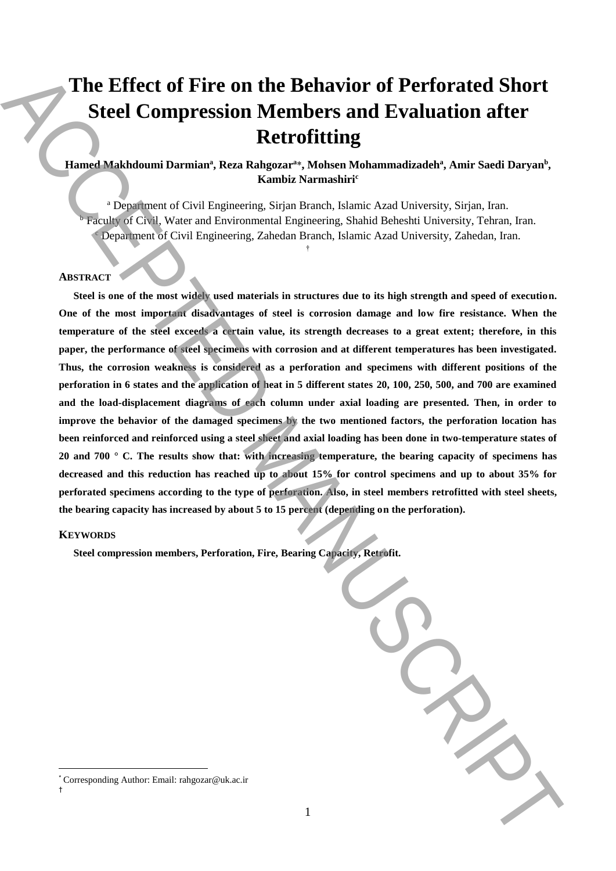# **The Effect of Fire on the Behavior of Perforated Short Steel Compression Members and Evaluation after Retrofitting**

# Hamed Makhdoumi Darmian<sup>a</sup>, Reza Rahgozar<sup>a\*</sup>, Mohsen Mohammadizadeh<sup>a</sup>, Amir Saedi Daryan<sup>b</sup>, **Kambiz Narmashiri<sup>c</sup>**

<sup>a</sup> Department of Civil Engineering, Sirjan Branch, Islamic Azad University, Sirjan, Iran. <sup>b</sup> Faculty of Civil, Water and Environmental Engineering, Shahid Beheshti University, Tehran, Iran. <sup>c</sup> Department of Civil Engineering, Zahedan Branch, Islamic Azad University, Zahedan, Iran.

†

# **ABSTRACT**

**Steel is one of the most widely used materials in structures due to its high strength and speed of execution. One of the most important disadvantages of steel is corrosion damage and low fire resistance. When the temperature of the steel exceeds a certain value, its strength decreases to a great extent; therefore, in this paper, the performance of steel specimens with corrosion and at different temperatures has been investigated. Thus, the corrosion weakness is considered as a perforation and specimens with different positions of the perforation in 6 states and the application of heat in 5 different states 20, 100, 250, 500, and 700 are examined and the load-displacement diagrams of each column under axial loading are presented. Then, in order to improve the behavior of the damaged specimens by the two mentioned factors, the perforation location has been reinforced and reinforced using a steel sheet and axial loading has been done in two-temperature states of 20 and 700 ° C. The results show that: with increasing temperature, the bearing capacity of specimens has decreased and this reduction has reached up to about 15% for control specimens and up to about 35% for perforated specimens according to the type of perforation. Also, in steel members retrofitted with steel sheets, the bearing capacity has increased by about 5 to 15 percent (depending on the perforation).** The Effect of Fire on the Behavior of Perforated Short<br>Steel Compression Members and Evaluation after<br>
Reaction and Evaluation after<br>
The consistence of the consistence of the consistence of the consistence of<br>
Engine of

# **KEYWORDS**

 $\overline{a}$ 

†

**Steel compression members, Perforation, Fire, Bearing Capacity, Retrofit.**

<sup>\*</sup> Corresponding Author: Email: rahgozar@uk.ac.ir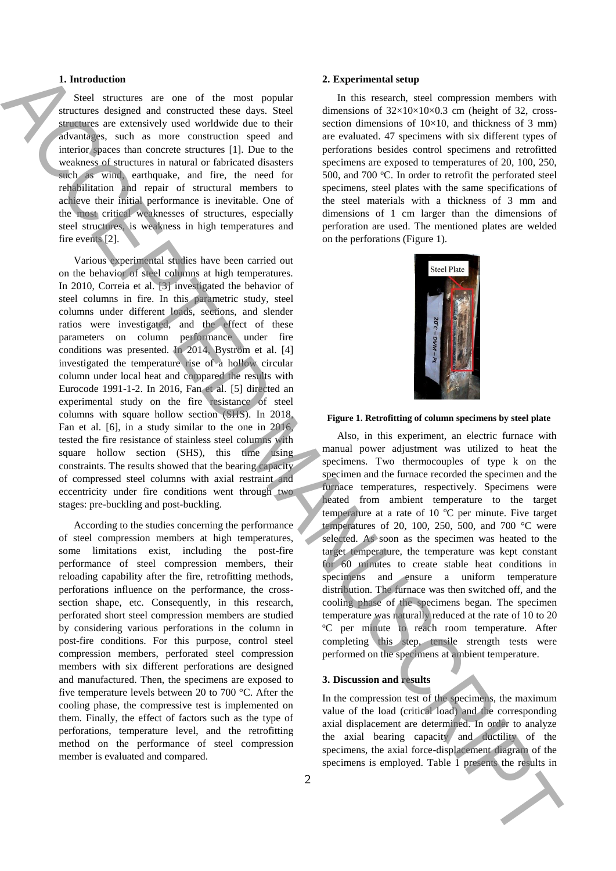# **1. Introduction**

Steel structures are one of the most popular structures designed and constructed these days. Steel structures are extensively used worldwide due to their advantages, such as more construction speed and interior spaces than concrete structures [1]. Due to the weakness of structures in natural or fabricated disasters such as wind, earthquake, and fire, the need for rehabilitation and repair of structural members to achieve their initial performance is inevitable. One of the most critical weaknesses of structures, especially steel structures, is weakness in high temperatures and fire events [2].

Various experimental studies have been carried out on the behavior of steel columns at high temperatures. In 2010, Correia et al. [3] investigated the behavior of steel columns in fire. In this parametric study, steel columns under different loads, sections, and slender ratios were investigated, and the effect of these parameters on column performance under fire conditions was presented. In 2014, Byström et al. [4] investigated the temperature rise of a hollow circular column under local heat and compared the results with Eurocode 1991-1-2. In 2016, Fan et al. [5] directed an experimental study on the fire resistance of steel columns with square hollow section (SHS). In 2018, Fan et al. [6], in a study similar to the one in 2016, tested the fire resistance of stainless steel columns with square hollow section (SHS), this time using constraints. The results showed that the bearing capacity of compressed steel columns with axial restraint and eccentricity under fire conditions went through two stages: pre-buckling and post-buckling. **1.** Interesting the maximized interest in the results in the results in ACCEPTE and the results in ACCEPTE and the results in the results in ACCEPTE and the results in ACCEPTE and the results in ACCEPTE and the results i

According to the studies concerning the performance of steel compression members at high temperatures, some limitations exist, including the post-fire performance of steel compression members, their reloading capability after the fire, retrofitting methods, perforations influence on the performance, the crosssection shape, etc. Consequently, in this research, perforated short steel compression members are studied by considering various perforations in the column in post-fire conditions. For this purpose, control steel compression members, perforated steel compression members with six different perforations are designed and manufactured. Then, the specimens are exposed to five temperature levels between 20 to 700 °C. After the cooling phase, the compressive test is implemented on them. Finally, the effect of factors such as the type of perforations, temperature level, and the retrofitting method on the performance of steel compression member is evaluated and compared.

#### **2. Experimental setup**

In this research, steel compression members with dimensions of  $32\times10\times10\times0.3$  cm (height of 32, crosssection dimensions of  $10\times10$ , and thickness of 3 mm) are evaluated. 47 specimens with six different types of perforations besides control specimens and retrofitted specimens are exposed to temperatures of 20, 100, 250, 500, and 700  $^{\circ}$ C. In order to retrofit the perforated steel specimens, steel plates with the same specifications of the steel materials with a thickness of 3 mm and dimensions of 1 cm larger than the dimensions of perforation are used. The mentioned plates are welded on the perforations (Figure 1).



#### **Figure 1. Retrofitting of column specimens by steel plate**

Also, in this experiment, an electric furnace with manual power adjustment was utilized to heat the specimens. Two thermocouples of type k on the specimen and the furnace recorded the specimen and the furnace temperatures, respectively. Specimens were heated from ambient temperature to the target temperature at a rate of 10  $^{\circ}$ C per minute. Five target temperatures of 20, 100, 250, 500, and 700 °C were selected. As soon as the specimen was heated to the target temperature, the temperature was kept constant for 60 minutes to create stable heat conditions in specimens and ensure a uniform temperature distribution. The furnace was then switched off, and the cooling phase of the specimens began. The specimen temperature was naturally reduced at the rate of 10 to 20 <sup>o</sup>C per minute to reach room temperature. After completing this step, tensile strength tests were performed on the specimens at ambient temperature.

### **3. Discussion and results**

In the compression test of the specimens, the maximum value of the load (critical load) and the corresponding axial displacement are determined. In order to analyze the axial bearing capacity and ductility of the specimens, the axial force-displacement diagram of the